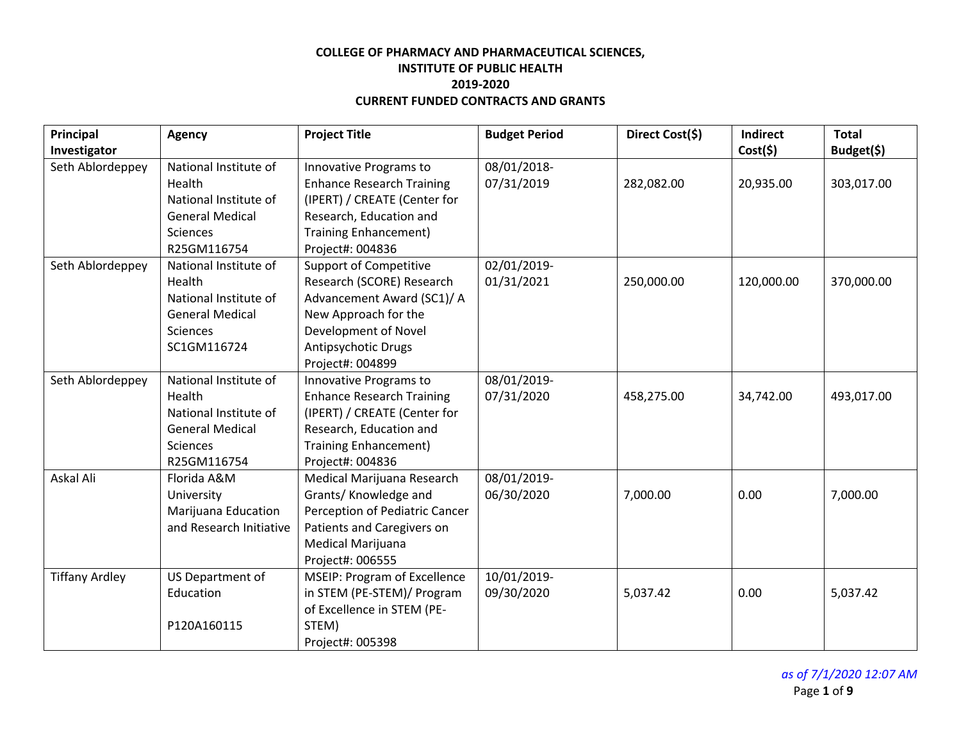| Principal             | <b>Agency</b>           | <b>Project Title</b>             | <b>Budget Period</b> | Direct Cost(\$) | <b>Indirect</b> | <b>Total</b> |
|-----------------------|-------------------------|----------------------------------|----------------------|-----------------|-----------------|--------------|
| Investigator          |                         |                                  |                      |                 | Cost(5)         | Budget(\$)   |
| Seth Ablordeppey      | National Institute of   | Innovative Programs to           | 08/01/2018-          |                 |                 |              |
|                       | Health                  | <b>Enhance Research Training</b> | 07/31/2019           | 282,082.00      | 20,935.00       | 303,017.00   |
|                       | National Institute of   | (IPERT) / CREATE (Center for     |                      |                 |                 |              |
|                       | <b>General Medical</b>  | Research, Education and          |                      |                 |                 |              |
|                       | Sciences                | <b>Training Enhancement)</b>     |                      |                 |                 |              |
|                       | R25GM116754             | Project#: 004836                 |                      |                 |                 |              |
| Seth Ablordeppey      | National Institute of   | <b>Support of Competitive</b>    | 02/01/2019-          |                 |                 |              |
|                       | Health                  | Research (SCORE) Research        | 01/31/2021           | 250,000.00      | 120,000.00      | 370,000.00   |
|                       | National Institute of   | Advancement Award (SC1)/ A       |                      |                 |                 |              |
|                       | <b>General Medical</b>  | New Approach for the             |                      |                 |                 |              |
|                       | Sciences                | Development of Novel             |                      |                 |                 |              |
|                       | SC1GM116724             | Antipsychotic Drugs              |                      |                 |                 |              |
|                       |                         | Project#: 004899                 |                      |                 |                 |              |
| Seth Ablordeppey      | National Institute of   | Innovative Programs to           | 08/01/2019-          |                 |                 |              |
|                       | Health                  | <b>Enhance Research Training</b> | 07/31/2020           | 458,275.00      | 34,742.00       | 493,017.00   |
|                       | National Institute of   | (IPERT) / CREATE (Center for     |                      |                 |                 |              |
|                       | <b>General Medical</b>  | Research, Education and          |                      |                 |                 |              |
|                       | Sciences                | <b>Training Enhancement)</b>     |                      |                 |                 |              |
|                       | R25GM116754             | Project#: 004836                 |                      |                 |                 |              |
| Askal Ali             | Florida A&M             | Medical Marijuana Research       | 08/01/2019-          |                 |                 |              |
|                       | University              | Grants/ Knowledge and            | 06/30/2020           | 7,000.00        | 0.00            | 7,000.00     |
|                       | Marijuana Education     | Perception of Pediatric Cancer   |                      |                 |                 |              |
|                       | and Research Initiative | Patients and Caregivers on       |                      |                 |                 |              |
|                       |                         | Medical Marijuana                |                      |                 |                 |              |
|                       |                         | Project#: 006555                 |                      |                 |                 |              |
| <b>Tiffany Ardley</b> | US Department of        | MSEIP: Program of Excellence     | 10/01/2019-          |                 |                 |              |
|                       | Education               | in STEM (PE-STEM)/ Program       | 09/30/2020           | 5,037.42        | 0.00            | 5,037.42     |
|                       |                         | of Excellence in STEM (PE-       |                      |                 |                 |              |
|                       | P120A160115             | STEM)                            |                      |                 |                 |              |
|                       |                         | Project#: 005398                 |                      |                 |                 |              |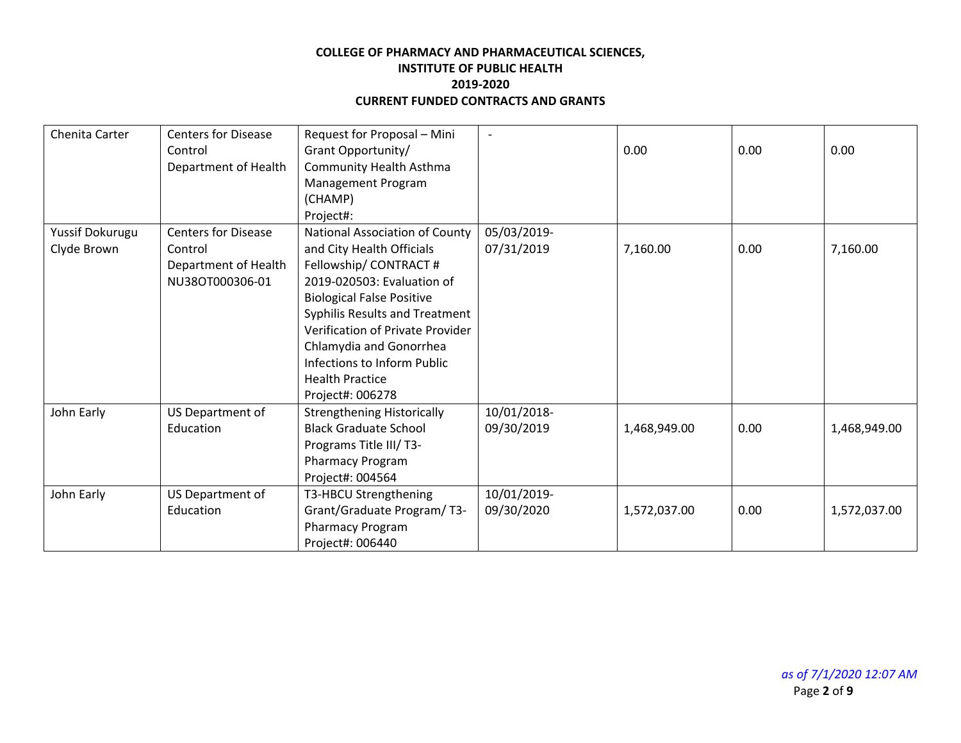| Chenita Carter  | <b>Centers for Disease</b> | Request for Proposal - Mini       | $\overline{\phantom{0}}$ |              |      |              |
|-----------------|----------------------------|-----------------------------------|--------------------------|--------------|------|--------------|
|                 | Control                    | Grant Opportunity/                |                          | 0.00         | 0.00 | 0.00         |
|                 | Department of Health       | <b>Community Health Asthma</b>    |                          |              |      |              |
|                 |                            | Management Program                |                          |              |      |              |
|                 |                            | (CHAMP)                           |                          |              |      |              |
|                 |                            | Project#:                         |                          |              |      |              |
| Yussif Dokurugu | <b>Centers for Disease</b> | National Association of County    | 05/03/2019-              |              |      |              |
| Clyde Brown     | Control                    | and City Health Officials         | 07/31/2019               | 7,160.00     | 0.00 | 7,160.00     |
|                 | Department of Health       | Fellowship/CONTRACT#              |                          |              |      |              |
|                 | NU38OT000306-01            | 2019-020503: Evaluation of        |                          |              |      |              |
|                 |                            | <b>Biological False Positive</b>  |                          |              |      |              |
|                 |                            | Syphilis Results and Treatment    |                          |              |      |              |
|                 |                            | Verification of Private Provider  |                          |              |      |              |
|                 |                            | Chlamydia and Gonorrhea           |                          |              |      |              |
|                 |                            | Infections to Inform Public       |                          |              |      |              |
|                 |                            | <b>Health Practice</b>            |                          |              |      |              |
|                 |                            | Project#: 006278                  |                          |              |      |              |
| John Early      | US Department of           | <b>Strengthening Historically</b> | 10/01/2018-              |              |      |              |
|                 | Education                  | <b>Black Graduate School</b>      | 09/30/2019               | 1,468,949.00 | 0.00 | 1,468,949.00 |
|                 |                            | Programs Title III/T3-            |                          |              |      |              |
|                 |                            | Pharmacy Program                  |                          |              |      |              |
|                 |                            | Project#: 004564                  |                          |              |      |              |
| John Early      | US Department of           | T3-HBCU Strengthening             | 10/01/2019-              |              |      |              |
|                 | Education                  | Grant/Graduate Program/T3-        | 09/30/2020               | 1,572,037.00 | 0.00 | 1,572,037.00 |
|                 |                            | Pharmacy Program                  |                          |              |      |              |
|                 |                            | Project#: 006440                  |                          |              |      |              |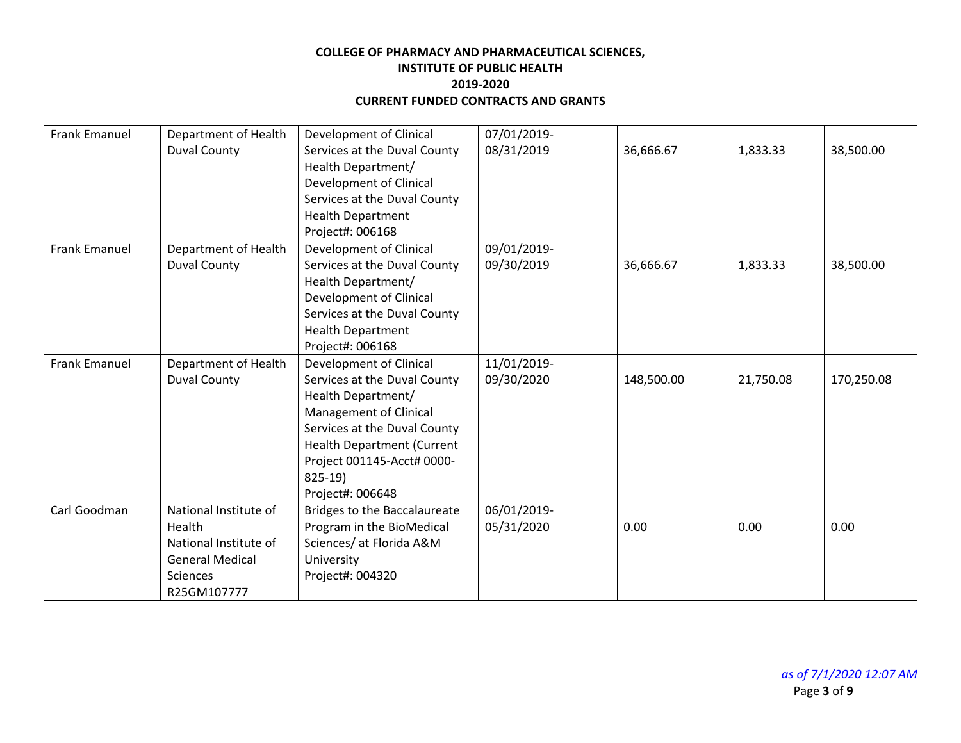| <b>Frank Emanuel</b> | Department of Health   | <b>Development of Clinical</b>    | 07/01/2019- |            |           |            |
|----------------------|------------------------|-----------------------------------|-------------|------------|-----------|------------|
|                      | <b>Duval County</b>    | Services at the Duval County      | 08/31/2019  | 36,666.67  | 1,833.33  | 38,500.00  |
|                      |                        | Health Department/                |             |            |           |            |
|                      |                        | Development of Clinical           |             |            |           |            |
|                      |                        | Services at the Duval County      |             |            |           |            |
|                      |                        | <b>Health Department</b>          |             |            |           |            |
|                      |                        | Project#: 006168                  |             |            |           |            |
| <b>Frank Emanuel</b> | Department of Health   | Development of Clinical           | 09/01/2019- |            |           |            |
|                      | <b>Duval County</b>    | Services at the Duval County      | 09/30/2019  | 36,666.67  | 1,833.33  | 38,500.00  |
|                      |                        | Health Department/                |             |            |           |            |
|                      |                        | Development of Clinical           |             |            |           |            |
|                      |                        | Services at the Duval County      |             |            |           |            |
|                      |                        | <b>Health Department</b>          |             |            |           |            |
|                      |                        | Project#: 006168                  |             |            |           |            |
| <b>Frank Emanuel</b> | Department of Health   | Development of Clinical           | 11/01/2019- |            |           |            |
|                      | <b>Duval County</b>    | Services at the Duval County      | 09/30/2020  | 148,500.00 | 21,750.08 | 170,250.08 |
|                      |                        | Health Department/                |             |            |           |            |
|                      |                        | Management of Clinical            |             |            |           |            |
|                      |                        | Services at the Duval County      |             |            |           |            |
|                      |                        | <b>Health Department (Current</b> |             |            |           |            |
|                      |                        | Project 001145-Acct# 0000-        |             |            |           |            |
|                      |                        | 825-19)                           |             |            |           |            |
|                      |                        | Project#: 006648                  |             |            |           |            |
| Carl Goodman         | National Institute of  | Bridges to the Baccalaureate      | 06/01/2019- |            |           |            |
|                      | Health                 | Program in the BioMedical         | 05/31/2020  | 0.00       | 0.00      | 0.00       |
|                      | National Institute of  | Sciences/ at Florida A&M          |             |            |           |            |
|                      | <b>General Medical</b> | University                        |             |            |           |            |
|                      | <b>Sciences</b>        | Project#: 004320                  |             |            |           |            |
|                      | R25GM107777            |                                   |             |            |           |            |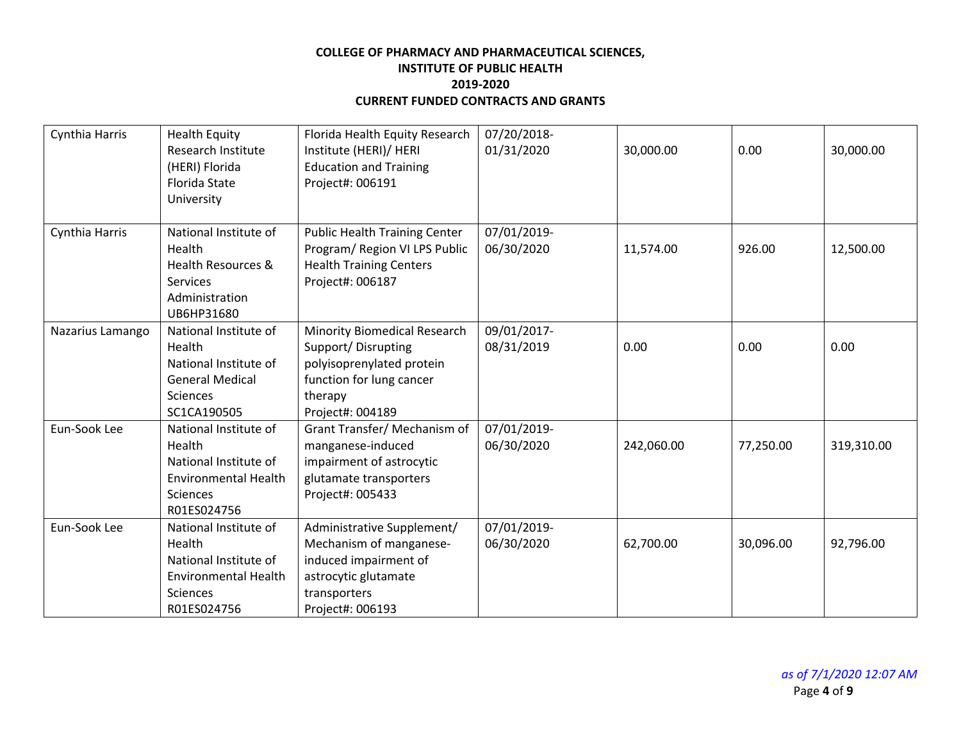| Cynthia Harris   | <b>Health Equity</b><br><b>Research Institute</b><br>(HERI) Florida<br><b>Florida State</b><br>University                 | Florida Health Equity Research<br>Institute (HERI)/ HERI<br><b>Education and Training</b><br>Project#: 006191                              | 07/20/2018-<br>01/31/2020 | 30,000.00  | 0.00      | 30,000.00  |
|------------------|---------------------------------------------------------------------------------------------------------------------------|--------------------------------------------------------------------------------------------------------------------------------------------|---------------------------|------------|-----------|------------|
| Cynthia Harris   | National Institute of<br>Health<br>Health Resources &<br>Services<br>Administration<br>UB6HP31680                         | <b>Public Health Training Center</b><br>Program/ Region VI LPS Public<br><b>Health Training Centers</b><br>Project#: 006187                | 07/01/2019-<br>06/30/2020 | 11,574.00  | 926.00    | 12,500.00  |
| Nazarius Lamango | National Institute of<br>Health<br>National Institute of<br><b>General Medical</b><br><b>Sciences</b><br>SC1CA190505      | Minority Biomedical Research<br>Support/Disrupting<br>polyisoprenylated protein<br>function for lung cancer<br>therapy<br>Project#: 004189 | 09/01/2017-<br>08/31/2019 | 0.00       | 0.00      | 0.00       |
| Eun-Sook Lee     | National Institute of<br>Health<br>National Institute of<br><b>Environmental Health</b><br>Sciences<br>R01ES024756        | Grant Transfer/ Mechanism of<br>manganese-induced<br>impairment of astrocytic<br>glutamate transporters<br>Project#: 005433                | 07/01/2019-<br>06/30/2020 | 242,060.00 | 77,250.00 | 319,310.00 |
| Eun-Sook Lee     | National Institute of<br>Health<br>National Institute of<br><b>Environmental Health</b><br><b>Sciences</b><br>R01ES024756 | Administrative Supplement/<br>Mechanism of manganese-<br>induced impairment of<br>astrocytic glutamate<br>transporters<br>Project#: 006193 | 07/01/2019-<br>06/30/2020 | 62,700.00  | 30,096.00 | 92,796.00  |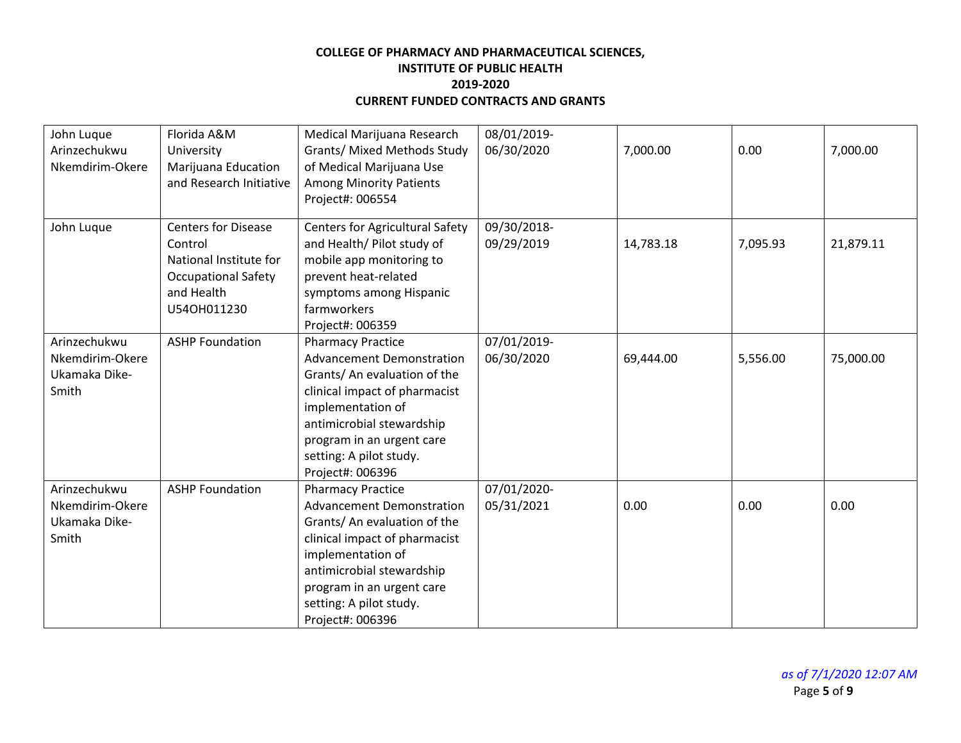| John Luque<br>Arinzechukwu<br>Nkemdirim-Okere             | Florida A&M<br>University<br>Marijuana Education<br>and Research Initiative                                                | Medical Marijuana Research<br>Grants/ Mixed Methods Study<br>of Medical Marijuana Use<br><b>Among Minority Patients</b><br>Project#: 006554                                                                                                                                     | 08/01/2019-<br>06/30/2020 | 7,000.00  | 0.00     | 7,000.00  |
|-----------------------------------------------------------|----------------------------------------------------------------------------------------------------------------------------|---------------------------------------------------------------------------------------------------------------------------------------------------------------------------------------------------------------------------------------------------------------------------------|---------------------------|-----------|----------|-----------|
| John Luque                                                | <b>Centers for Disease</b><br>Control<br>National Institute for<br><b>Occupational Safety</b><br>and Health<br>U540H011230 | <b>Centers for Agricultural Safety</b><br>and Health/ Pilot study of<br>mobile app monitoring to<br>prevent heat-related<br>symptoms among Hispanic<br>farmworkers                                                                                                              | 09/30/2018-<br>09/29/2019 | 14,783.18 | 7,095.93 | 21,879.11 |
| Arinzechukwu<br>Nkemdirim-Okere<br>Ukamaka Dike-<br>Smith | <b>ASHP Foundation</b>                                                                                                     | Project#: 006359<br><b>Pharmacy Practice</b><br><b>Advancement Demonstration</b><br>Grants/ An evaluation of the<br>clinical impact of pharmacist<br>implementation of<br>antimicrobial stewardship<br>program in an urgent care<br>setting: A pilot study.<br>Project#: 006396 | 07/01/2019-<br>06/30/2020 | 69,444.00 | 5,556.00 | 75,000.00 |
| Arinzechukwu<br>Nkemdirim-Okere<br>Ukamaka Dike-<br>Smith | <b>ASHP Foundation</b>                                                                                                     | <b>Pharmacy Practice</b><br><b>Advancement Demonstration</b><br>Grants/ An evaluation of the<br>clinical impact of pharmacist<br>implementation of<br>antimicrobial stewardship<br>program in an urgent care<br>setting: A pilot study.<br>Project#: 006396                     | 07/01/2020-<br>05/31/2021 | 0.00      | 0.00     | 0.00      |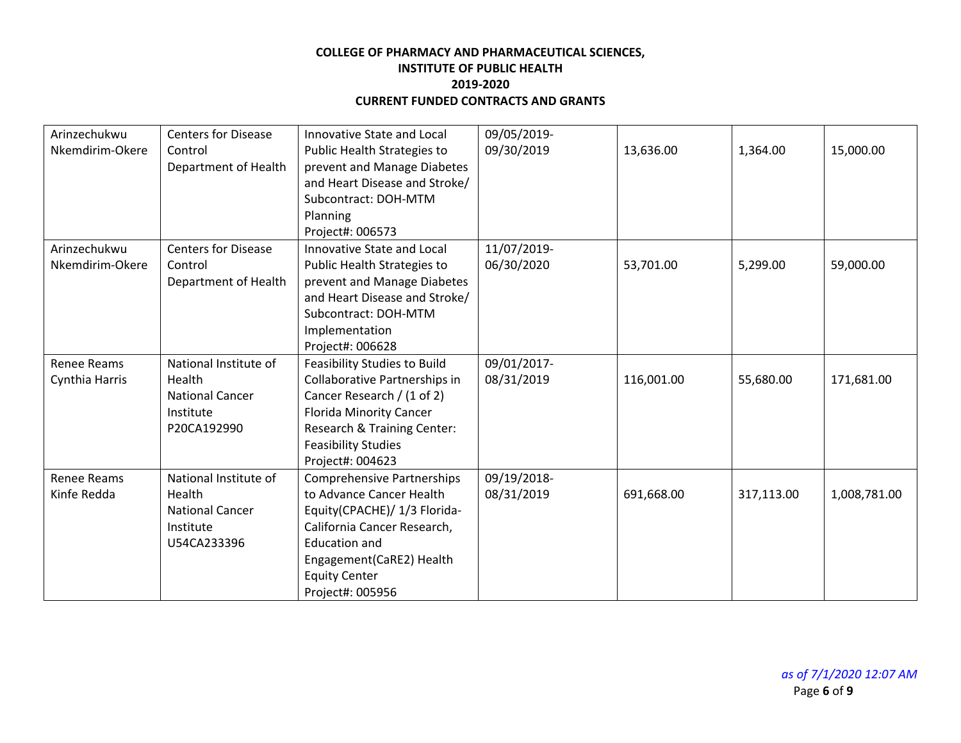| Arinzechukwu       | <b>Centers for Disease</b> | Innovative State and Local          | 09/05/2019- |            |            |              |
|--------------------|----------------------------|-------------------------------------|-------------|------------|------------|--------------|
| Nkemdirim-Okere    | Control                    | Public Health Strategies to         | 09/30/2019  | 13,636.00  | 1,364.00   | 15,000.00    |
|                    | Department of Health       | prevent and Manage Diabetes         |             |            |            |              |
|                    |                            | and Heart Disease and Stroke/       |             |            |            |              |
|                    |                            | Subcontract: DOH-MTM                |             |            |            |              |
|                    |                            | Planning                            |             |            |            |              |
|                    |                            | Project#: 006573                    |             |            |            |              |
| Arinzechukwu       | <b>Centers for Disease</b> | Innovative State and Local          | 11/07/2019- |            |            |              |
| Nkemdirim-Okere    | Control                    | Public Health Strategies to         | 06/30/2020  | 53,701.00  | 5,299.00   | 59,000.00    |
|                    | Department of Health       | prevent and Manage Diabetes         |             |            |            |              |
|                    |                            | and Heart Disease and Stroke/       |             |            |            |              |
|                    |                            | Subcontract: DOH-MTM                |             |            |            |              |
|                    |                            | Implementation                      |             |            |            |              |
|                    |                            | Project#: 006628                    |             |            |            |              |
| <b>Renee Reams</b> | National Institute of      | <b>Feasibility Studies to Build</b> | 09/01/2017- |            |            |              |
| Cynthia Harris     | Health                     | Collaborative Partnerships in       | 08/31/2019  | 116,001.00 | 55,680.00  | 171,681.00   |
|                    | <b>National Cancer</b>     | Cancer Research / (1 of 2)          |             |            |            |              |
|                    | Institute                  | <b>Florida Minority Cancer</b>      |             |            |            |              |
|                    | P20CA192990                | Research & Training Center:         |             |            |            |              |
|                    |                            | <b>Feasibility Studies</b>          |             |            |            |              |
|                    |                            | Project#: 004623                    |             |            |            |              |
| <b>Renee Reams</b> | National Institute of      | <b>Comprehensive Partnerships</b>   | 09/19/2018- |            |            |              |
| Kinfe Redda        | Health                     | to Advance Cancer Health            | 08/31/2019  | 691,668.00 | 317,113.00 | 1,008,781.00 |
|                    | <b>National Cancer</b>     | Equity(CPACHE)/ 1/3 Florida-        |             |            |            |              |
|                    | Institute                  | California Cancer Research,         |             |            |            |              |
|                    | U54CA233396                | <b>Education and</b>                |             |            |            |              |
|                    |                            | Engagement(CaRE2) Health            |             |            |            |              |
|                    |                            | <b>Equity Center</b>                |             |            |            |              |
|                    |                            | Project#: 005956                    |             |            |            |              |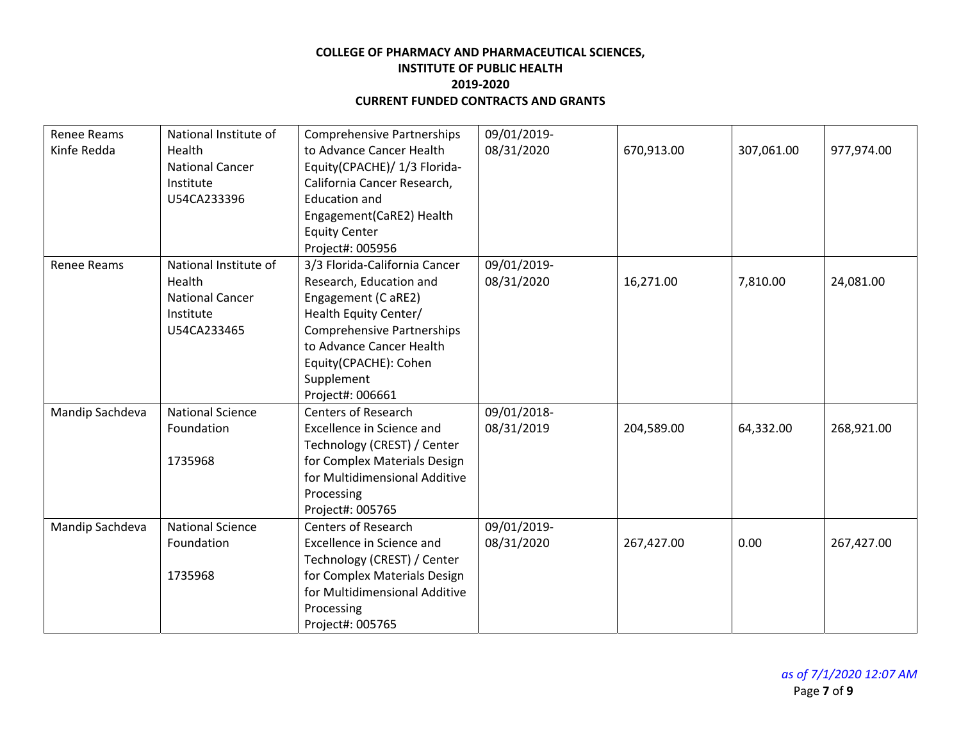| Renee Reams     | National Institute of   | <b>Comprehensive Partnerships</b> | 09/01/2019- |            |            |            |
|-----------------|-------------------------|-----------------------------------|-------------|------------|------------|------------|
| Kinfe Redda     | Health                  | to Advance Cancer Health          | 08/31/2020  | 670,913.00 | 307,061.00 | 977,974.00 |
|                 | <b>National Cancer</b>  | Equity(CPACHE)/ 1/3 Florida-      |             |            |            |            |
|                 | Institute               | California Cancer Research,       |             |            |            |            |
|                 | U54CA233396             | <b>Education and</b>              |             |            |            |            |
|                 |                         | Engagement(CaRE2) Health          |             |            |            |            |
|                 |                         | <b>Equity Center</b>              |             |            |            |            |
|                 |                         | Project#: 005956                  |             |            |            |            |
| Renee Reams     | National Institute of   | 3/3 Florida-California Cancer     | 09/01/2019- |            |            |            |
|                 | Health                  | Research, Education and           | 08/31/2020  | 16,271.00  | 7,810.00   | 24,081.00  |
|                 | <b>National Cancer</b>  | Engagement (C aRE2)               |             |            |            |            |
|                 | Institute               | Health Equity Center/             |             |            |            |            |
|                 | U54CA233465             | <b>Comprehensive Partnerships</b> |             |            |            |            |
|                 |                         | to Advance Cancer Health          |             |            |            |            |
|                 |                         | Equity(CPACHE): Cohen             |             |            |            |            |
|                 |                         | Supplement                        |             |            |            |            |
|                 |                         | Project#: 006661                  |             |            |            |            |
| Mandip Sachdeva | <b>National Science</b> | <b>Centers of Research</b>        | 09/01/2018- |            |            |            |
|                 | Foundation              | Excellence in Science and         | 08/31/2019  | 204,589.00 | 64,332.00  | 268,921.00 |
|                 |                         | Technology (CREST) / Center       |             |            |            |            |
|                 | 1735968                 | for Complex Materials Design      |             |            |            |            |
|                 |                         | for Multidimensional Additive     |             |            |            |            |
|                 |                         | Processing                        |             |            |            |            |
|                 |                         | Project#: 005765                  |             |            |            |            |
| Mandip Sachdeva | <b>National Science</b> | <b>Centers of Research</b>        | 09/01/2019- |            |            |            |
|                 | Foundation              | Excellence in Science and         | 08/31/2020  | 267,427.00 | 0.00       | 267,427.00 |
|                 |                         | Technology (CREST) / Center       |             |            |            |            |
|                 | 1735968                 | for Complex Materials Design      |             |            |            |            |
|                 |                         | for Multidimensional Additive     |             |            |            |            |
|                 |                         | Processing                        |             |            |            |            |
|                 |                         | Project#: 005765                  |             |            |            |            |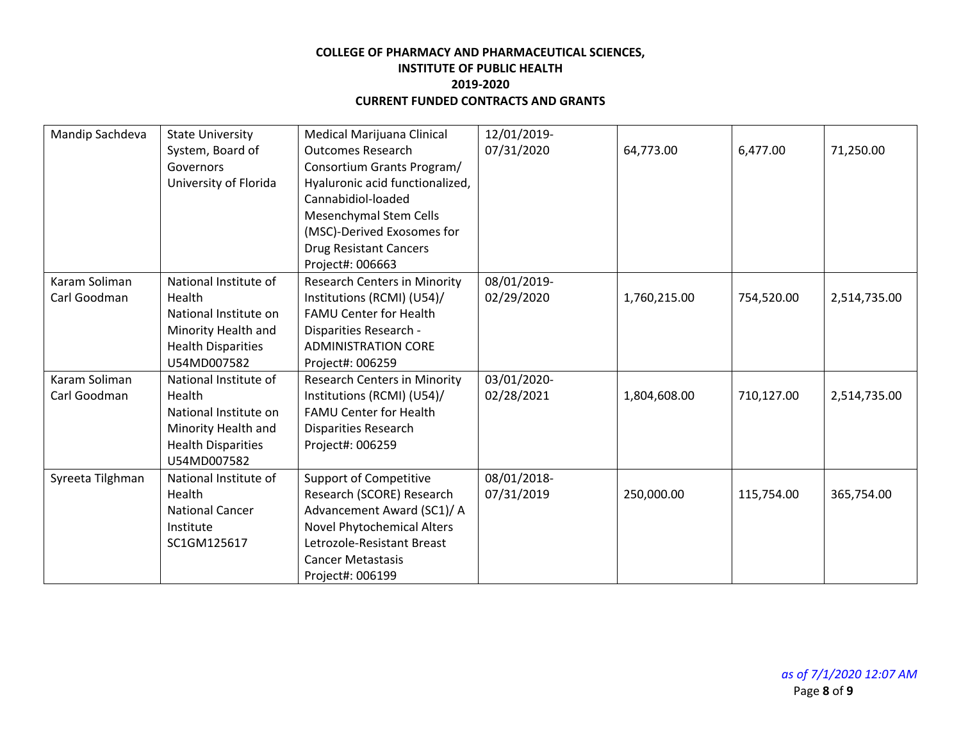| Mandip Sachdeva  | <b>State University</b>   | Medical Marijuana Clinical          | 12/01/2019- |              |            |              |
|------------------|---------------------------|-------------------------------------|-------------|--------------|------------|--------------|
|                  | System, Board of          | <b>Outcomes Research</b>            | 07/31/2020  | 64,773.00    | 6,477.00   | 71,250.00    |
|                  | Governors                 | Consortium Grants Program/          |             |              |            |              |
|                  | University of Florida     | Hyaluronic acid functionalized,     |             |              |            |              |
|                  |                           | Cannabidiol-loaded                  |             |              |            |              |
|                  |                           | Mesenchymal Stem Cells              |             |              |            |              |
|                  |                           | (MSC)-Derived Exosomes for          |             |              |            |              |
|                  |                           | <b>Drug Resistant Cancers</b>       |             |              |            |              |
|                  |                           | Project#: 006663                    |             |              |            |              |
| Karam Soliman    | National Institute of     | <b>Research Centers in Minority</b> | 08/01/2019- |              |            |              |
| Carl Goodman     | Health                    | Institutions (RCMI) (U54)/          | 02/29/2020  | 1,760,215.00 | 754,520.00 | 2,514,735.00 |
|                  | National Institute on     | <b>FAMU Center for Health</b>       |             |              |            |              |
|                  | Minority Health and       | Disparities Research -              |             |              |            |              |
|                  | <b>Health Disparities</b> | <b>ADMINISTRATION CORE</b>          |             |              |            |              |
|                  | U54MD007582               | Project#: 006259                    |             |              |            |              |
| Karam Soliman    | National Institute of     | <b>Research Centers in Minority</b> | 03/01/2020- |              |            |              |
| Carl Goodman     | Health                    | Institutions (RCMI) (U54)/          | 02/28/2021  | 1,804,608.00 | 710,127.00 | 2,514,735.00 |
|                  | National Institute on     | <b>FAMU Center for Health</b>       |             |              |            |              |
|                  | Minority Health and       | Disparities Research                |             |              |            |              |
|                  | <b>Health Disparities</b> | Project#: 006259                    |             |              |            |              |
|                  | U54MD007582               |                                     |             |              |            |              |
| Syreeta Tilghman | National Institute of     | <b>Support of Competitive</b>       | 08/01/2018- |              |            |              |
|                  | Health                    | Research (SCORE) Research           | 07/31/2019  | 250,000.00   | 115,754.00 | 365,754.00   |
|                  | <b>National Cancer</b>    | Advancement Award (SC1)/ A          |             |              |            |              |
|                  | Institute                 | Novel Phytochemical Alters          |             |              |            |              |
|                  | SC1GM125617               | Letrozole-Resistant Breast          |             |              |            |              |
|                  |                           | <b>Cancer Metastasis</b>            |             |              |            |              |
|                  |                           | Project#: 006199                    |             |              |            |              |